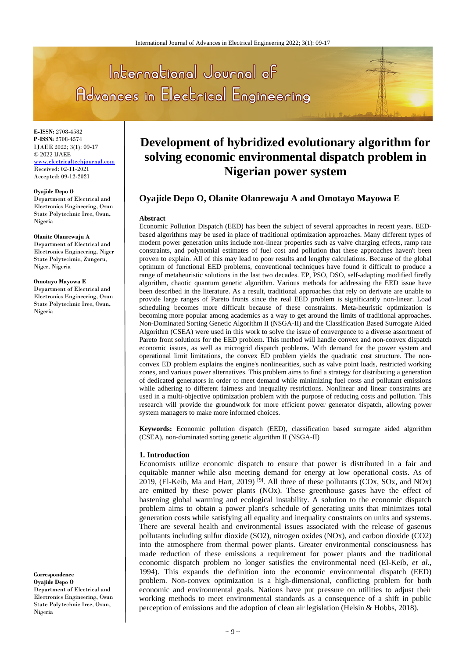# International Journal of Advances in Electrical Engineering

**E-ISSN:** 2708-4582 **P-ISSN:** 2708-4574 IJAEE 2022; 3(1): 09-17 © 2022 IJAEE www.electricaltechjournal.com Received: 02-11-2021 Accepted: 09-12-2021

#### **Oyajide Depo O**

Department of Electrical and Electronics Engineering, Osun State Polytechnic Iree, Osun, Nigeria

#### **Olanite Olanrewaju A**

Department of Electrical and Electronics Engineering, Niger State Polytechnic, Zungeru, Niger, Nigeria

#### **Omotayo Mayowa E**

Department of Electrical and Electronics Engineering, Osun State Polytechnic Iree, Osun, Nigeria

#### **Correspondence Oyajide Depo O**

Department of Electrical and Electronics Engineering, Osun State Polytechnic Iree, Osun, Nigeria

# **Development of hybridized evolutionary algorithm for solving economic environmental dispatch problem in Nigerian power system**

# **Oyajide Depo O, Olanite Olanrewaju A and Omotayo Mayowa E**

#### **Abstract**

Economic Pollution Dispatch (EED) has been the subject of several approaches in recent years. EEDbased algorithms may be used in place of traditional optimization approaches. Many different types of modern power generation units include non-linear properties such as valve charging effects, ramp rate constraints, and polynomial estimates of fuel cost and pollution that these approaches haven't been proven to explain. All of this may lead to poor results and lengthy calculations. Because of the global optimum of functional EED problems, conventional techniques have found it difficult to produce a range of metaheuristic solutions in the last two decades. EP, PSO, DSO, self-adapting modified firefly algorithm, chaotic quantum genetic algorithm. Various methods for addressing the EED issue have been described in the literature. As a result, traditional approaches that rely on derivate are unable to provide large ranges of Pareto fronts since the real EED problem is significantly non-linear. Load scheduling becomes more difficult because of these constraints. Meta-heuristic optimization is becoming more popular among academics as a way to get around the limits of traditional approaches. Non-Dominated Sorting Genetic Algorithm II (NSGA-II) and the Classification Based Surrogate Aided Algorithm (CSEA) were used in this work to solve the issue of convergence to a diverse assortment of Pareto front solutions for the EED problem. This method will handle convex and non-convex dispatch economic issues, as well as microgrid dispatch problems. With demand for the power system and operational limit limitations, the convex ED problem yields the quadratic cost structure. The nonconvex ED problem explains the engine's nonlinearities, such as valve point loads, restricted working zones, and various power alternatives. This problem aims to find a strategy for distributing a generation of dedicated generators in order to meet demand while minimizing fuel costs and pollutant emissions while adhering to different fairness and inequality restrictions. Nonlinear and linear constraints are used in a multi-objective optimization problem with the purpose of reducing costs and pollution. This research will provide the groundwork for more efficient power generator dispatch, allowing power system managers to make more informed choices.

**Keywords:** Economic pollution dispatch (EED), classification based surrogate aided algorithm (CSEA), non-dominated sorting genetic algorithm II (NSGA-II)

## **1. Introduction**

Economists utilize economic dispatch to ensure that power is distributed in a fair and equitable manner while also meeting demand for energy at low operational costs. As of 2019, (El-Keib, Ma and Hart, 2019)<sup>[9]</sup>. All three of these pollutants (COx, SOx, and NOx) are emitted by these power plants (NOx). These greenhouse gases have the effect of hastening global warming and ecological instability. A solution to the economic dispatch problem aims to obtain a power plant's schedule of generating units that minimizes total generation costs while satisfying all equality and inequality constraints on units and systems. There are several health and environmental issues associated with the release of gaseous pollutants including sulfur dioxide (SO2), nitrogen oxides (NOx), and carbon dioxide (CO2) into the atmosphere from thermal power plants. Greater environmental consciousness has made reduction of these emissions a requirement for power plants and the traditional economic dispatch problem no longer satisfies the environmental need (El-Keib, *et al*., 1994). This expands the definition into the economic environmental dispatch (EED) problem. Non-convex optimization is a high-dimensional, conflicting problem for both economic and environmental goals. Nations have put pressure on utilities to adjust their working methods to meet environmental standards as a consequence of a shift in public perception of emissions and the adoption of clean air legislation (Helsin & Hobbs, 2018).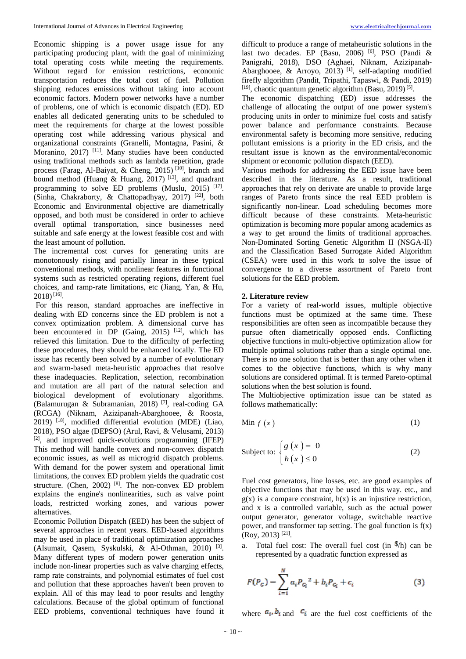Economic shipping is a power usage issue for any participating producing plant, with the goal of minimizing total operating costs while meeting the requirements. Without regard for emission restrictions, economic transportation reduces the total cost of fuel. Pollution shipping reduces emissions without taking into account economic factors. Modern power networks have a number of problems, one of which is economic dispatch (ED). ED enables all dedicated generating units to be scheduled to meet the requirements for charge at the lowest possible operating cost while addressing various physical and organizational constraints (Granelli, Montagna, Pasini, & Moranino, 2017) <sup>[11]</sup>. Many studies have been conducted using traditional methods such as lambda repetition, grade process (Farag, Al-Baiyat, & Cheng, 2015)<sup>[10]</sup>, branch and bound method (Huang & Huang, 2017)<sup>[13]</sup>, and quadrant programming to solve ED problems (Muslu, 2015)<sup>[17]</sup>. (Sinha, Chakraborty, & Chattopadhyay, 2017)<sup>[22]</sup>, both Economic and Environmental objective are diametrically opposed, and both must be considered in order to achieve overall optimal transportation, since businesses need suitable and safe energy at the lowest feasible cost and with the least amount of pollution.

The incremental cost curves for generating units are monotonously rising and partially linear in these typical conventional methods, with nonlinear features in functional systems such as restricted operating regions, different fuel choices, and ramp-rate limitations, etc (Jiang, Yan, & Hu,  $2018)$ <sup>[16]</sup>.

For this reason, standard approaches are ineffective in dealing with ED concerns since the ED problem is not a convex optimization problem. A dimensional curve has been encountered in DP (Gaing, 2015)<sup>[12]</sup>, which has relieved this limitation. Due to the difficulty of perfecting these procedures, they should be enhanced locally. The ED issue has recently been solved by a number of evolutionary and swarm-based meta-heuristic approaches that resolve these inadequacies. Replication, selection, recombination and mutation are all part of the natural selection and biological development of evolutionary algorithms. (Balamurugan & Subramanian, 2018) [7] , real-coding GA (RCGA) (Niknam, Azizipanah-Abarghooee, & Roosta, 2019) [18] , modified differential evolution (MDE) (Liao, 2018), PSO algae (DEPSO) (Arul, Ravi, & Velusami, 2013)  $^{[2]}$ , and improved quick-evolutions programming (IFEP) This method will handle convex and non-convex dispatch economic issues, as well as microgrid dispatch problems. With demand for the power system and operational limit limitations, the convex ED problem yields the quadratic cost structure. (Chen, 2002) <sup>[8]</sup>. The non-convex ED problem explains the engine's nonlinearities, such as valve point loads, restricted working zones, and various power alternatives.

Economic Pollution Dispatch (EED) has been the subject of several approaches in recent years. EED-based algorithms may be used in place of traditional optimization approaches (Alsumait, Qasem, Syskulski, & Al-Othman, 2010) [3] . Many different types of modern power generation units include non-linear properties such as valve charging effects, ramp rate constraints, and polynomial estimates of fuel cost and pollution that these approaches haven't been proven to explain. All of this may lead to poor results and lengthy calculations. Because of the global optimum of functional EED problems, conventional techniques have found it

difficult to produce a range of metaheuristic solutions in the last two decades. EP (Basu, 2006)<sup>[6]</sup>, PSO (Pandi & Panigrahi, 2018), DSO (Aghaei, Niknam, Azizipanah-Abarghooee, & Arroyo, 2013)<sup>[1]</sup>, self-adapting modified firefly algorithm (Pandit, Tripathi, Tapaswi, & Pandi, 2019)  $[19]$ , chaotic quantum genetic algorithm (Basu, 2019)<sup>[5]</sup>.

The economic dispatching (ED) issue addresses the challenge of allocating the output of one power system's producing units in order to minimize fuel costs and satisfy power balance and performance constraints. Because environmental safety is becoming more sensitive, reducing pollutant emissions is a priority in the ED crisis, and the resultant issue is known as the environmental/economic shipment or economic pollution dispatch (EED).

Various methods for addressing the EED issue have been described in the literature. As a result, traditional approaches that rely on derivate are unable to provide large ranges of Pareto fronts since the real EED problem is significantly non-linear. Load scheduling becomes more difficult because of these constraints. Meta-heuristic optimization is becoming more popular among academics as a way to get around the limits of traditional approaches. Non-Dominated Sorting Genetic Algorithm II (NSGA-II) and the Classification Based Surrogate Aided Algorithm (CSEA) were used in this work to solve the issue of convergence to a diverse assortment of Pareto front solutions for the EED problem.

#### **2. Literature review**

For a variety of real-world issues, multiple objective functions must be optimized at the same time. These responsibilities are often seen as incompatible because they pursue often diametrically opposed ends. Conflicting objective functions in multi-objective optimization allow for multiple optimal solutions rather than a single optimal one. There is no one solution that is better than any other when it comes to the objective functions, which is why many solutions are considered optimal. It is termed Pareto-optimal solutions when the best solution is found.

The Multiobjective optimization issue can be stated as follows mathematically:

$$
\text{Min } f\left(x\right) \tag{1}
$$

Subject to: 
$$
\begin{cases} g(x) = 0 \\ h(x) \le 0 \end{cases}
$$
 (2)

Fuel cost generators, line losses, etc. are good examples of objective functions that may be used in this way. etc., and  $g(x)$  is a compare constraint,  $h(x)$  is an injustice restriction, and x is a controlled variable, such as the actual power output generator, generator voltage, switchable reactive power, and transformer tap setting. The goal function is  $f(x)$ (Roy, 2013) [21] .

a. Total fuel cost: The overall fuel cost (in  $h$ ) can be represented by a quadratic function expressed as

$$
F(P_G) = \sum_{i=1}^{N} a_i P_{G_i}^2 + b_i P_{G_i} + c_i
$$
 (3)

where  $a_i, b_i$  and  $c_i$  are the fuel cost coefficients of the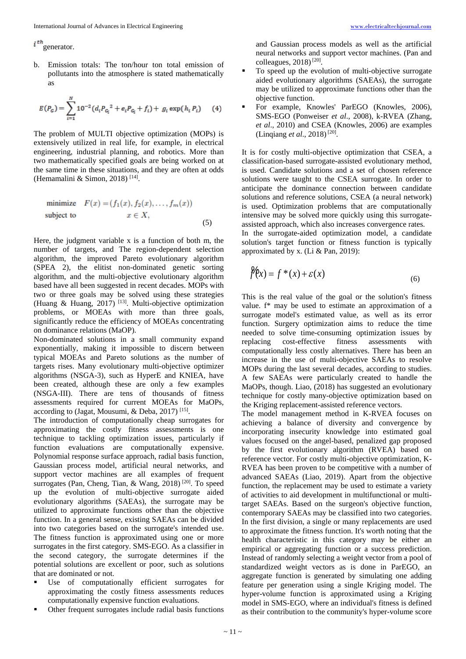$i^{th}$  generator.

b. Emission totals: The ton/hour ton total emission of pollutants into the atmosphere is stated mathematically as

$$
E(P_G) = \sum_{i=1}^{N} 10^{-2} (d_i P_{G_i}^2 + e_i P_{G_i} + f_i) + g_i \exp(h_i P_i)
$$
 (4)

The problem of MULTI objective optimization (MOPs) is extensively utilized in real life, for example, in electrical engineering, industrial planning, and robotics. More than two mathematically specified goals are being worked on at the same time in these situations, and they are often at odds (Hemamalini & Simon, 2018) [14] .

minimize 
$$
F(x) = (f_1(x), f_2(x), \dots, f_m(x))
$$
  
subject to  $x \in X$ , (5)

Here, the judgment variable x is a function of both m, the number of targets, and The region-dependent selection algorithm, the improved Pareto evolutionary algorithm (SPEA 2), the elitist non-dominated genetic sorting algorithm, and the multi-objective evolutionary algorithm based have all been suggested in recent decades. MOPs with two or three goals may be solved using these strategies (Huang & Huang, 2017)<sup>[13]</sup>. Multi-objective optimization problems, or MOEAs with more than three goals, significantly reduce the efficiency of MOEAs concentrating on dominance relations (MaOP).

Non-dominated solutions in a small community expand exponentially, making it impossible to discern between typical MOEAs and Pareto solutions as the number of targets rises. Many evolutionary multi-objective optimizer algorithms (NSGA-3), such as HyperE and KNIEA, have been created, although these are only a few examples (NSGA-III). There are tens of thousands of fitness assessments required for current MOEAs for MaOPs, according to (Jagat, Mousumi, & Deba, 2017)<sup>[15]</sup>.

The introduction of computationally cheap surrogates for approximating the costly fitness assessments is one technique to tackling optimization issues, particularly if function evaluations are computationally expensive. Polynomial response surface approach, radial basis function, Gaussian process model, artificial neural networks, and support vector machines are all examples of frequent surrogates (Pan, Cheng, Tian, & Wang, 2018)<sup>[20]</sup>. To speed up the evolution of multi-objective surrogate aided evolutionary algorithms (SAEAs), the surrogate may be utilized to approximate functions other than the objective function. In a general sense, existing SAEAs can be divided into two categories based on the surrogate's intended use. The fitness function is approximated using one or more surrogates in the first category. SMS-EGO. As a classifier in the second category, the surrogate determines if the potential solutions are excellent or poor, such as solutions that are dominated or not.

- Use of computationally efficient surrogates for approximating the costly fitness assessments reduces computationally expensive function evaluations.
- Other frequent surrogates include radial basis functions

and Gaussian process models as well as the artificial neural networks and support vector machines. (Pan and colleagues,  $2018$ <sup>[20]</sup>.

- To speed up the evolution of multi-objective surrogate aided evolutionary algorithms (SAEAs), the surrogate may be utilized to approximate functions other than the objective function.
- For example, Knowles' ParEGO (Knowles, 2006), SMS-EGO (Ponweiser *et al*., 2008), k-RVEA (Zhang, *et al*., 2010) and CSEA (Knowles, 2006) are examples (Linqiang et al., 2018)<sup>[20]</sup>.

It is for costly multi-objective optimization that CSEA, a classification-based surrogate-assisted evolutionary method, is used. Candidate solutions and a set of chosen reference solutions were taught to the CSEA surrogate. In order to anticipate the dominance connection between candidate solutions and reference solutions, CSEA (a neural network) is used. Optimization problems that are computationally intensive may be solved more quickly using this surrogateassisted approach, which also increases convergence rates.

In the surrogate-aided optimization model, a candidate solution's target function or fitness function is typically approximated by x. (Li & Pan, 2019):

$$
\hat{f}(x) = f^*(x) + \varepsilon(x) \tag{6}
$$

This is the real value of the goal or the solution's fitness value. f\* may be used to estimate an approximation of a surrogate model's estimated value, as well as its error function. Surgery optimization aims to reduce the time needed to solve time-consuming optimization issues by replacing cost-effective fitness assessments with computationally less costly alternatives. There has been an increase in the use of multi-objective SAEAs to resolve MOPs during the last several decades, according to studies. A few SAEAs were particularly created to handle the MaOPs, though. Liao, (2018) has suggested an evolutionary technique for costly many-objective optimization based on the Kriging replacement-assisted reference vectors.

The model management method in K-RVEA focuses on achieving a balance of diversity and convergence by incorporating insecurity knowledge into estimated goal values focused on the angel-based, penalized gap proposed by the first evolutionary algorithm (RVEA) based on reference vector. For costly multi-objective optimization, K-RVEA has been proven to be competitive with a number of advanced SAEAs (Liao, 2019). Apart from the objective function, the replacement may be used to estimate a variety of activities to aid development in multifunctional or multitarget SAEAs. Based on the surgeon's objective function, contemporary SAEAs may be classified into two categories. In the first division, a single or many replacements are used to approximate the fitness function. It's worth noting that the health characteristic in this category may be either an empirical or aggregating function or a success prediction. Instead of randomly selecting a weight vector from a pool of standardized weight vectors as is done in ParEGO, an aggregate function is generated by simulating one adding feature per generation using a single Kriging model. The hyper-volume function is approximated using a Kriging model in SMS-EGO, where an individual's fitness is defined as their contribution to the community's hyper-volume score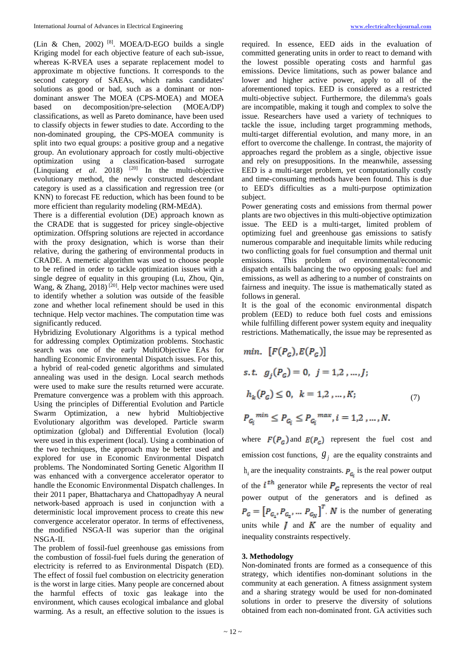(Lin & Chen, 2002)  $[8]$ . MOEA/D-EGO builds a single Kriging model for each objective feature of each sub-issue, whereas K-RVEA uses a separate replacement model to approximate m objective functions. It corresponds to the second category of SAEAs, which ranks candidates' solutions as good or bad, such as a dominant or nondominant answer The MOEA (CPS-MOEA) and MOEA based on decomposition/pre-selection (MOEA/DP) classifications, as well as Pareto dominance, have been used to classify objects in fewer studies to date. According to the non-dominated grouping, the CPS-MOEA community is split into two equal groups: a positive group and a negative group. An evolutionary approach for costly multi-objective optimization using a classification-based surrogate (Linquiang  $et$   $al$ . 2018)  $[20]$  In the multi-objective evolutionary method, the newly constructed descendant category is used as a classification and regression tree (or KNN) to forecast FE reduction, which has been found to be more efficient than regularity modeling (RM-MEdA).

There is a differential evolution (DE) approach known as the CRADE that is suggested for pricey single-objective optimization. Offspring solutions are rejected in accordance with the proxy designation, which is worse than their relative, during the gathering of environmental products in CRADE. A memetic algorithm was used to choose people to be refined in order to tackle optimization issues with a single degree of equality in this grouping (Lu, Zhou, Qin, Wang, & Zhang, 2018)<sup>[20]</sup>. Help vector machines were used to identify whether a solution was outside of the feasible zone and whether local refinement should be used in this technique. Help vector machines. The computation time was significantly reduced.

Hybridizing Evolutionary Algorithms is a typical method for addressing complex Optimization problems. Stochastic search was one of the early MultiObjective EAs for handling Economic Environmental Dispatch issues. For this, a hybrid of real-coded genetic algorithms and simulated annealing was used in the design. Local search methods were used to make sure the results returned were accurate. Premature convergence was a problem with this approach. Using the principles of Differential Evolution and Particle Swarm Optimization, a new hybrid Multiobjective Evolutionary algorithm was developed. Particle swarm optimization (global) and Differential Evolution (local) were used in this experiment (local). Using a combination of the two techniques, the approach may be better used and explored for use in Economic Environmental Dispatch problems. The Nondominated Sorting Genetic Algorithm II was enhanced with a convergence accelerator operator to handle the Economic Environmental Dispatch challenges. In their 2011 paper, Bhattacharya and Chattopadhyay A neural network-based approach is used in conjunction with a deterministic local improvement process to create this new convergence accelerator operator. In terms of effectiveness, the modified NSGA-II was superior than the original NSGA-II.

The problem of fossil-fuel greenhouse gas emissions from the combustion of fossil-fuel fuels during the generation of electricity is referred to as Environmental Dispatch (ED). The effect of fossil fuel combustion on electricity generation is the worst in large cities. Many people are concerned about the harmful effects of toxic gas leakage into the environment, which causes ecological imbalance and global warming. As a result, an effective solution to the issues is

required. In essence, EED aids in the evaluation of committed generating units in order to react to demand with the lowest possible operating costs and harmful gas emissions. Device limitations, such as power balance and lower and higher active power, apply to all of the aforementioned topics. EED is considered as a restricted multi-objective subject. Furthermore, the dilemma's goals are incompatible, making it tough and complex to solve the issue. Researchers have used a variety of techniques to tackle the issue, including target programming methods, multi-target differential evolution, and many more, in an effort to overcome the challenge. In contrast, the majority of approaches regard the problem as a single, objective issue and rely on presuppositions. In the meanwhile, assessing EED is a multi-target problem, yet computationally costly and time-consuming methods have been found. This is due to EED's difficulties as a multi-purpose optimization subject.

Power generating costs and emissions from thermal power plants are two objectives in this multi-objective optimization issue. The EED is a multi-target, limited problem of optimizing fuel and greenhouse gas emissions to satisfy numerous comparable and inequitable limits while reducing two conflicting goals for fuel consumption and thermal unit emissions. This problem of environmental/economic dispatch entails balancing the two opposing goals: fuel and emissions, as well as adhering to a number of constraints on fairness and inequity. The issue is mathematically stated as follows in general.

It is the goal of the economic environmental dispatch problem (EED) to reduce both fuel costs and emissions while fulfilling different power system equity and inequality restrictions. Mathematically, the issue may be represented as

min. 
$$
[F(P_G), E(P_G)]
$$
  
\ns.t.  $g_j(P_G) = 0, j = 1, 2, ..., J;$   
\n $h_k(P_G) \le 0, k = 1, 2, ..., K;$  (7)  
\n $P_{G_i}^{min} \le P_{G_i} \le P_{G_i}^{max}, i = 1, 2, ..., N.$ 

where  $F(P_c)$  and  $E(P_c)$  represent the fuel cost and emission cost functions,  $g_j$  are the equality constraints and  $h_k$  are the inequality constraints.  $P_{\mathcal{G}_{\bar{k}}}$  is the real power output of the  $i^{th}$  generator while  $P_c$  represents the vector of real power output of the generators and is defined as  $P_{G} = \left[P_{G_1}, P_{G_2}, \dots, P_{G_N}\right]^T$ . *N* is the number of generating units while  $\boldsymbol{J}$  and  $\boldsymbol{K}$  are the number of equality and inequality constraints respectively.

# **3. Methodology**

Non-dominated fronts are formed as a consequence of this strategy, which identifies non-dominant solutions in the community at each generation. A fitness assignment system and a sharing strategy would be used for non-dominated solutions in order to preserve the diversity of solutions obtained from each non-dominated front. GA activities such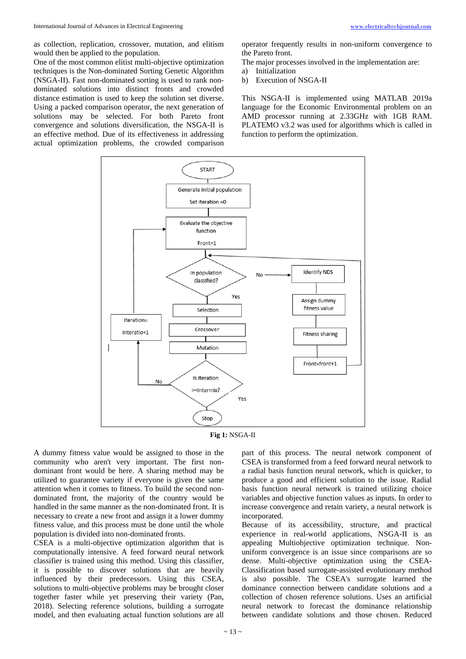as collection, replication, crossover, mutation, and elitism would then be applied to the population.

One of the most common elitist multi-objective optimization techniques is the Non-dominated Sorting Genetic Algorithm (NSGA-II). Fast non-dominated sorting is used to rank nondominated solutions into distinct fronts and crowded distance estimation is used to keep the solution set diverse. Using a packed comparison operator, the next generation of solutions may be selected. For both Pareto front convergence and solutions diversification, the NSGA-II is an effective method. Due of its effectiveness in addressing actual optimization problems, the crowded comparison operator frequently results in non-uniform convergence to the Pareto front.

- The major processes involved in the implementation are:
- a) Initialization
- b) Execution of NSGA-II

This NSGA-II is implemented using MATLAB 2019a language for the Economic Environmental problem on an AMD processor running at 2.33GHz with 1GB RAM. PLATEMO v3.2 was used for algorithms which is called in function to perform the optimization.





A dummy fitness value would be assigned to those in the community who aren't very important. The first nondominant front would be here. A sharing method may be utilized to guarantee variety if everyone is given the same attention when it comes to fitness. To build the second nondominated front, the majority of the country would be handled in the same manner as the non-dominated front. It is necessary to create a new front and assign it a lower dummy fitness value, and this process must be done until the whole population is divided into non-dominated fronts.

CSEA is a multi-objective optimization algorithm that is computationally intensive. A feed forward neural network classifier is trained using this method. Using this classifier, it is possible to discover solutions that are heavily influenced by their predecessors. Using this CSEA, solutions to multi-objective problems may be brought closer together faster while yet preserving their variety (Pan, 2018). Selecting reference solutions, building a surrogate model, and then evaluating actual function solutions are all

part of this process. The neural network component of CSEA is transformed from a feed forward neural network to a radial basis function neural network, which is quicker, to produce a good and efficient solution to the issue. Radial basis function neural network is trained utilizing choice variables and objective function values as inputs. In order to increase convergence and retain variety, a neural network is incorporated.

Because of its accessibility, structure, and practical experience in real-world applications, NSGA-II is an appealing Multiobjective optimization technique. Nonuniform convergence is an issue since comparisons are so dense. Multi-objective optimization using the CSEA-Classification based surrogate-assisted evolutionary method is also possible. The CSEA's surrogate learned the dominance connection between candidate solutions and a collection of chosen reference solutions. Uses an artificial neural network to forecast the dominance relationship between candidate solutions and those chosen. Reduced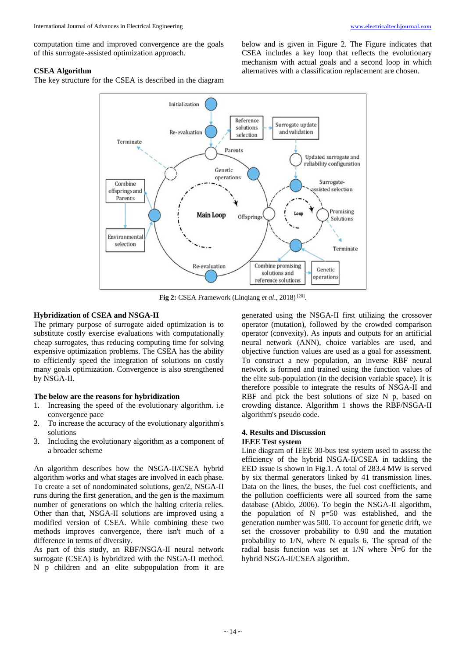computation time and improved convergence are the goals of this surrogate-assisted optimization approach.

# **CSEA Algorithm**

The key structure for the CSEA is described in the diagram

below and is given in Figure 2. The Figure indicates that CSEA includes a key loop that reflects the evolutionary mechanism with actual goals and a second loop in which alternatives with a classification replacement are chosen.



Fig 2: CSEA Framework (Linqiang et al., 2018)<sup>[20]</sup>.

## **Hybridization of CSEA and NSGA-II**

The primary purpose of surrogate aided optimization is to substitute costly exercise evaluations with computationally cheap surrogates, thus reducing computing time for solving expensive optimization problems. The CSEA has the ability to efficiently speed the integration of solutions on costly many goals optimization. Convergence is also strengthened by NSGA-II.

# **The below are the reasons for hybridization**

- 1. Increasing the speed of the evolutionary algorithm. i.e convergence pace
- 2. To increase the accuracy of the evolutionary algorithm's solutions
- 3. Including the evolutionary algorithm as a component of a broader scheme

An algorithm describes how the NSGA-II/CSEA hybrid algorithm works and what stages are involved in each phase. To create a set of nondominated solutions, gen/2, NSGA-II runs during the first generation, and the gen is the maximum number of generations on which the halting criteria relies. Other than that, NSGA-II solutions are improved using a modified version of CSEA. While combining these two methods improves convergence, there isn't much of a difference in terms of diversity.

As part of this study, an RBF/NSGA-II neural network surrogate (CSEA) is hybridized with the NSGA-II method. N p children and an elite subpopulation from it are

generated using the NSGA-II first utilizing the crossover operator (mutation), followed by the crowded comparison operator (convexity). As inputs and outputs for an artificial neural network (ANN), choice variables are used, and objective function values are used as a goal for assessment. To construct a new population, an inverse RBF neural network is formed and trained using the function values of the elite sub-population (in the decision variable space). It is therefore possible to integrate the results of NSGA-II and RBF and pick the best solutions of size N p, based on crowding distance. Algorithm 1 shows the RBF/NSGA-II algorithm's pseudo code.

# **4. Results and Discussion**

# **IEEE Test system**

Line diagram of IEEE 30-bus test system used to assess the efficiency of the hybrid NSGA-II/CSEA in tackling the EED issue is shown in Fig.1. A total of 283.4 MW is served by six thermal generators linked by 41 transmission lines. Data on the lines, the buses, the fuel cost coefficients, and the pollution coefficients were all sourced from the same database (Abido, 2006). To begin the NSGA-II algorithm, the population of N p=50 was established, and the generation number was 500. To account for genetic drift, we set the crossover probability to 0.90 and the mutation probability to 1/N, where N equals 6. The spread of the radial basis function was set at 1/N where N=6 for the hybrid NSGA-II/CSEA algorithm.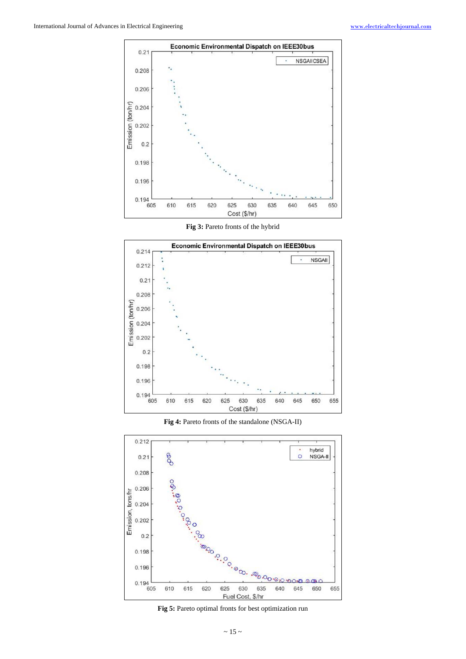

**Fig 3:** Pareto fronts of the hybrid



**Fig 4:** Pareto fronts of the standalone (NSGA-II)

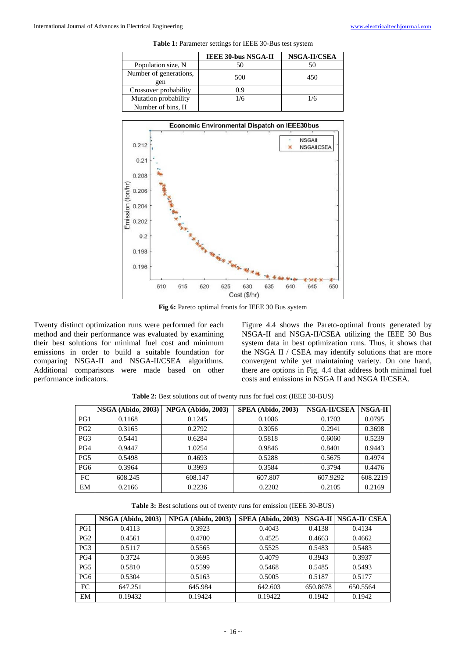| <b>Table 1:</b> Parameter settings for IEEE 30-Bus test system |  |  |
|----------------------------------------------------------------|--|--|
|----------------------------------------------------------------|--|--|

|                               | <b>IEEE 30-bus NSGA-II</b> | NSGA-II/CSEA |
|-------------------------------|----------------------------|--------------|
| Population size, N            | 50                         | 50           |
| Number of generations,<br>gen | 500                        | 450          |
| Crossover probability         | 0.9                        |              |
| Mutation probability          | 1/6                        | 1/6          |
| Number of bins, H             |                            |              |



**Fig 6:** Pareto optimal fronts for IEEE 30 Bus system

Twenty distinct optimization runs were performed for each method and their performance was evaluated by examining their best solutions for minimal fuel cost and minimum emissions in order to build a suitable foundation for comparing NSGA-II and NSGA-II/CSEA algorithms. Additional comparisons were made based on other performance indicators.

Figure 4.4 shows the Pareto-optimal fronts generated by NSGA-II and NSGA-II/CSEA utilizing the IEEE 30 Bus system data in best optimization runs. Thus, it shows that the NSGA II / CSEA may identify solutions that are more convergent while yet maintaining variety. On one hand, there are options in Fig. 4.4 that address both minimal fuel costs and emissions in NSGA II and NSGA II/CSEA.

|                 | <b>NSGA (Abido, 2003)</b> | NPGA (Abido, 2003) | <b>SPEA</b> (Abido, 2003) | NSGA-II/CSEA | NSGA-II  |
|-----------------|---------------------------|--------------------|---------------------------|--------------|----------|
| PG1             | 0.1168                    | 0.1245             | 0.1086                    | 0.1703       | 0.0795   |
| PG <sub>2</sub> | 0.3165                    | 0.2792             | 0.3056                    | 0.2941       | 0.3698   |
| PG <sub>3</sub> | 0.5441                    | 0.6284             | 0.5818                    | 0.6060       | 0.5239   |
| PG4             | 0.9447                    | 1.0254             | 0.9846                    | 0.8401       | 0.9443   |
| PG5             | 0.5498                    | 0.4693             | 0.5288                    | 0.5675       | 0.4974   |
| PG6             | 0.3964                    | 0.3993             | 0.3584                    | 0.3794       | 0.4476   |
| FC.             | 608.245                   | 608.147            | 607.807                   | 607.9292     | 608.2219 |
| EM              | 0.2166                    | 0.2236             | 0.2202                    | 0.2105       | 0.2169   |

**Table 2:** Best solutions out of twenty runs for fuel cost (IEEE 30-BUS)

**Table 3:** Best solutions out of twenty runs for emission (IEEE 30-BUS)

|                 | NSGA (Abido, 2003) | NPGA (Abido, 2003) | <b>SPEA</b> (Abido, 2003) | $NSGA-II$ | <b>NSGA-II/ CSEA</b> |
|-----------------|--------------------|--------------------|---------------------------|-----------|----------------------|
| PG1             | 0.4113             | 0.3923             | 0.4043                    | 0.4138    | 0.4134               |
| PG <sub>2</sub> | 0.4561             | 0.4700             | 0.4525                    | 0.4663    | 0.4662               |
| PG <sub>3</sub> | 0.5117             | 0.5565             | 0.5525                    | 0.5483    | 0.5483               |
| PG4             | 0.3724             | 0.3695             | 0.4079                    | 0.3943    | 0.3937               |
| PG5             | 0.5810             | 0.5599             | 0.5468                    | 0.5485    | 0.5493               |
| PG6             | 0.5304             | 0.5163             | 0.5005                    | 0.5187    | 0.5177               |
| FC              | 647.251            | 645.984            | 642.603                   | 650.8678  | 650.5564             |
| EM              | 0.19432            | 0.19424            | 0.19422                   | 0.1942    | 0.1942               |